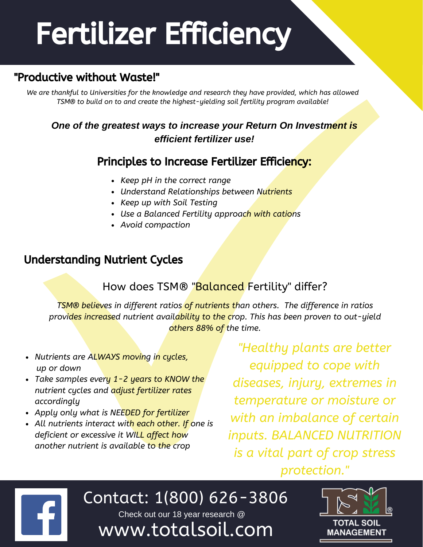# Fertilizer Efficiency

#### "Productive without Waste!"

*We are thankful to Universities for the knowledge and research they have provided, which has allowed TSM® to build on to and create the highest-yielding soil fertility program available!*

#### *One of the greatest ways to increase your Return On Investment is efficient fertilizer use!*

#### Principles to Increase Fertilizer Efficiency:

- *Keep pH in the correct range*
- *Understand Relationships between Nutrients*
- *Keep up with Soil Testing*
- *Use a Balanced Fertility approach with cations*
- *Avoid compaction*

#### Understanding Nutrient Cycles

#### How does TSM® "Balanced Fertility" differ?

*TSM® believes in different ratios of nutrients than others. The difference in ratios provides increased nutrient availability to the crop. This has been proven to out-yield others 88% of the time.*

- *Nutrients are ALWAYS moving in cycles, up or down*
- *Take samples every 1-2 years to KNOW the nutrient cycles and adjust fertilizer rates accordingly*
- *Apply only what is NEEDED for fertilizer*

hello@

*All nutrients interact with each other. If one is deficient or excessive it WILL affect how another nutrient is available to the crop*

*"Healthy plants are better equipped to cope with diseases, injury, extremes in temperature or moisture or with an imbalance of certain inputs. BALANCED NUTRITION is a vital part of crop stress protection."*

 $\Box$  Contact: 1/800) **estimate** Contact: 1(800) 626-3806 Check out our 18 year research @

www.totalsoil.com